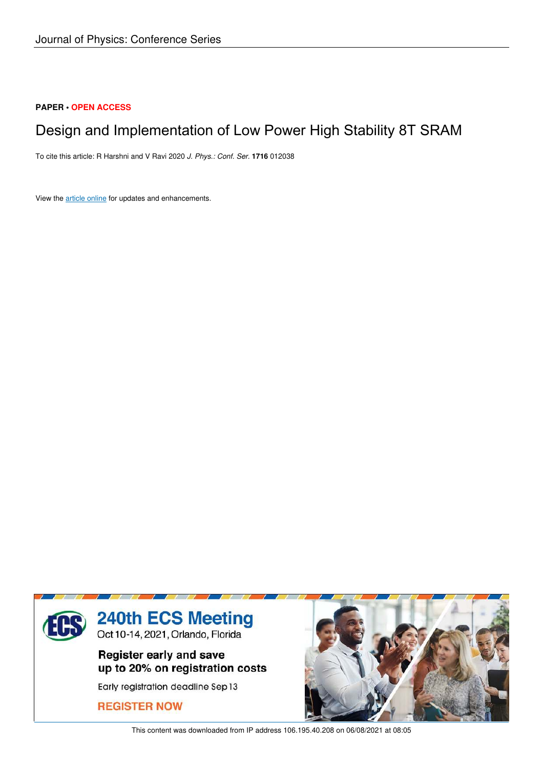## **PAPER • OPEN ACCESS**

# Design and Implementation of Low Power High Stability 8T SRAM

To cite this article: R Harshni and V Ravi 2020 *J. Phys.: Conf. Ser.* **1716** 012038

View the article online for updates and enhancements.



This content was downloaded from IP address 106.195.40.208 on 06/08/2021 at 08:05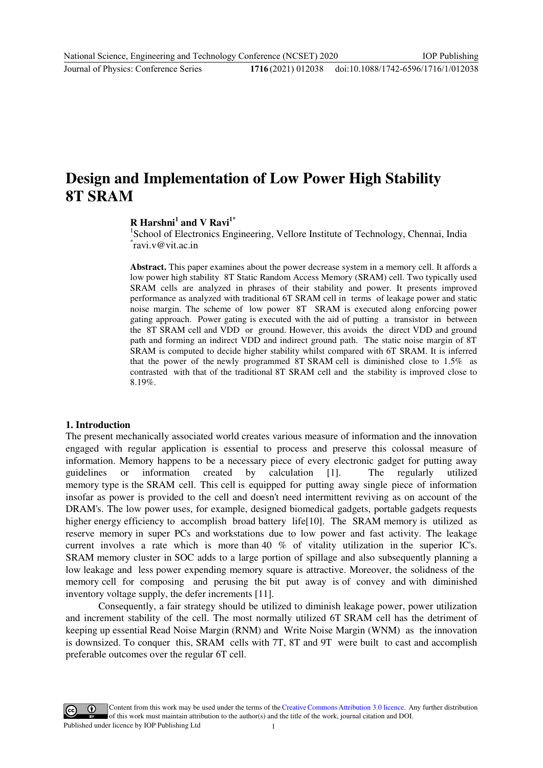# **Design and Implementation of Low Power High Stability 8T SRAM**

## **R Harshni<sup>1</sup> and V Ravi1\***

<sup>1</sup>School of Electronics Engineering, Vellore Institute of Technology, Chennai, India \* ravi.v@vit.ac.in

**Abstract.** This paper examines about the power decrease system in a memory cell. It affords a low power high stability 8T Static Random Access Memory (SRAM) cell. Two typically used SRAM cells are analyzed in phrases of their stability and power. It presents improved performance as analyzed with traditional 6T SRAM cell in terms of leakage power and static noise margin. The scheme of low power 8T SRAM is executed along enforcing power gating approach. Power gating is executed with the aid of putting a transistor in between the 8T SRAM cell and VDD or ground. However, this avoids the direct VDD and ground path and forming an indirect VDD and indirect ground path. The static noise margin of 8T SRAM is computed to decide higher stability whilst compared with 6T SRAM. It is inferred that the power of the newly programmed 8T SRAM cell is diminished close to  $1.5\%$  as contrasted with that of the traditional 8T SRAM cell and the stability is improved close to 8.19%.

### **1. Introduction**

The present mechanically associated world creates various measure of information and the innovation engaged with regular application is essential to process and preserve this colossal measure of information. Memory happens to be a necessary piece of every electronic gadget for putting away guidelines or information created by calculation [1]. The regularly utilized memory type is the SRAM cell. This cell is equipped for putting away single piece of information insofar as power is provided to the cell and doesn't need intermittent reviving as on account of the DRAM's. The low power uses, for example, designed biomedical gadgets, portable gadgets requests higher energy efficiency to accomplish broad battery life $[10]$ . The SRAM memory is utilized as reserve memory in super PCs and workstations due to low power and fast activity. The leakage current involves a rate which is more than 40 % of vitality utilization in the superior IC's. SRAM memory cluster in SOC adds to a large portion of spillage and also subsequently planning a low leakage and less power expending memory square is attractive. Moreover, the solidness of the memory cell for composing and perusing the bit put away is of convey and with diminished inventory voltage supply, the defer increments [11].

Consequently, a fair strategy should be utilized to diminish leakage power, power utilization and increment stability of the cell. The most normally utilized 6T SRAM cell has the detriment of keeping up essential Read Noise Margin (RNM) and Write Noise Margin (WNM) as the innovation is downsized. To conquer this, SRAM cells with 7T, 8T and 9T were built to cast and accomplish preferable outcomes over the regular 6T cell.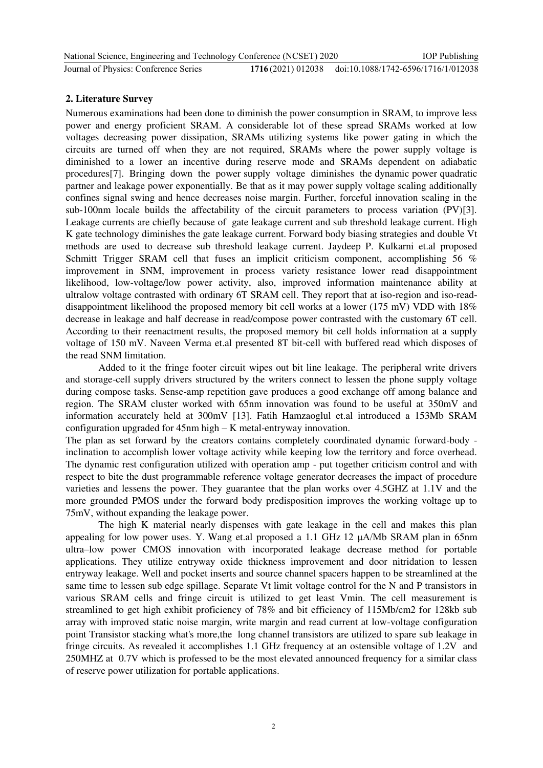| National Science, Engineering and Technology Conference (NCSET) 2020 | <b>IOP</b> Publishing                                 |
|----------------------------------------------------------------------|-------------------------------------------------------|
| Journal of Physics: Conference Series                                | 1716(2021) 012038 doi:10.1088/1742-6596/1716/1/012038 |

## **2. Literature Survey**

Numerous examinations had been done to diminish the power consumption in SRAM, to improve less power and energy proficient SRAM. A considerable lot of these spread SRAMs worked at low voltages decreasing power dissipation, SRAMs utilizing systems like power gating in which the circuits are turned off when they are not required, SRAMs where the power supply voltage is diminished to a lower an incentive during reserve mode and SRAMs dependent on adiabatic procedures<sup>[7]</sup>. Bringing down the power supply voltage diminishes the dynamic power quadratic partner and leakage power exponentially. Be that as it may power supply voltage scaling additionally confines signal swing and hence decreases noise margin. Further, forceful innovation scaling in the sub-100nm locale builds the affectability of the circuit parameters to process variation (PV)[3]. Leakage currents are chiefly because of gate leakage current and sub threshold leakage current. High K gate technology diminishes the gate leakage current. Forward body biasing strategies and double Vt methods are used to decrease sub threshold leakage current. Jaydeep P. Kulkarni et.al proposed Schmitt Trigger SRAM cell that fuses an implicit criticism component, accomplishing 56 % improvement in SNM, improvement in process variety resistance lower read disappointment likelihood, low-voltage/low power activity, also, improved information maintenance ability at ultralow voltage contrasted with ordinary 6T SRAM cell. They report that at iso-region and iso-readdisappointment likelihood the proposed memory bit cell works at a lower (175 mV) VDD with 18% decrease in leakage and half decrease in read/compose power contrasted with the customary 6T cell. According to their reenactment results, the proposed memory bit cell holds information at a supply voltage of 150 mV. Naveen Verma et.al presented 8T bit-cell with buffered read which disposes of the read SNM limitation.

Added to it the fringe footer circuit wipes out bit line leakage. The peripheral write drivers and storage-cell supply drivers structured by the writers connect to lessen the phone supply voltage during compose tasks. Sense-amp repetition gave produces a good exchange off among balance and region. The SRAM cluster worked with 65nm innovation was found to be useful at 350mV and information accurately held at 300mV [13]. Fatih Hamzaoglul et.al introduced a 153Mb SRAM configuration upgraded for 45nm high – K metal-entryway innovation.

The plan as set forward by the creators contains completely coordinated dynamic forward-body inclination to accomplish lower voltage activity while keeping low the territory and force overhead. The dynamic rest configuration utilized with operation amp - put together criticism control and with respect to bite the dust programmable reference voltage generator decreases the impact of procedure varieties and lessens the power. They guarantee that the plan works over 4.5GHZ at 1.1V and the more grounded PMOS under the forward body predisposition improves the working voltage up to 75mV, without expanding the leakage power.

The high K material nearly dispenses with gate leakage in the cell and makes this plan appealing for low power uses. Y. Wang et.al proposed a 1.1 GHz  $12 \mu A/Mb$  SRAM plan in 65nm ultra–low power CMOS innovation with incorporated leakage decrease method for portable applications. They utilize entryway oxide thickness improvement and door nitridation to lessen entryway leakage. Well and pocket inserts and source channel spacers happen to be streamlined at the same time to lessen sub edge spillage. Separate Vt limit voltage control for the N and P transistors in various SRAM cells and fringe circuit is utilized to get least Vmin. The cell measurement is streamlined to get high exhibit proficiency of 78% and bit efficiency of 115Mb/cm2 for 128kb sub array with improved static noise margin, write margin and read current at low-voltage configuration point Transistor stacking what's more,the long channel transistors are utilized to spare sub leakage in fringe circuits. As revealed it accomplishes 1.1 GHz frequency at an ostensible voltage of  $1.2V$  and 250MHZ at 0.7V which is professed to be the most elevated announced frequency for a similar class of reserve power utilization for portable applications.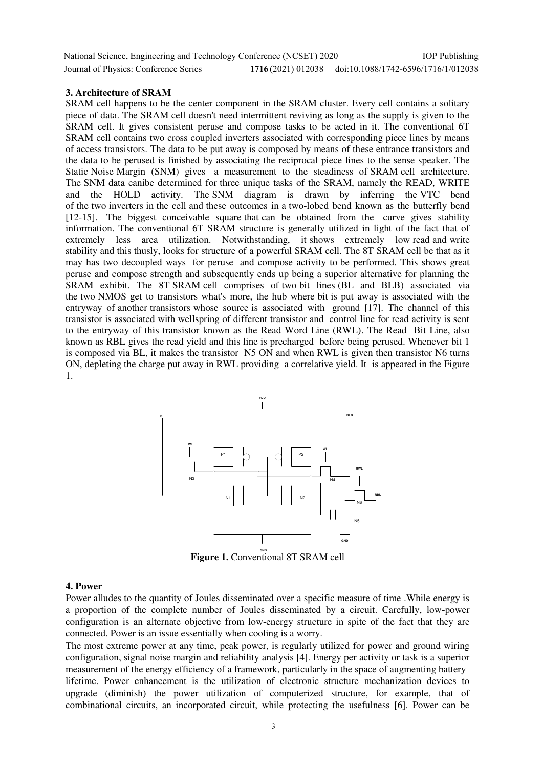| National Science, Engineering and Technology Conference (NCSET) 2020 |                                                       | <b>IOP</b> Publishing |
|----------------------------------------------------------------------|-------------------------------------------------------|-----------------------|
| Journal of Physics: Conference Series                                | 1716(2021) 012038 doi:10.1088/1742-6596/1716/1/012038 |                       |

#### **3. Architecture of SRAM**

SRAM cell happens to be the center component in the SRAM cluster. Every cell contains a solitary piece of data. The SRAM cell doesn't need intermittent reviving as long as the supply is given to the SRAM cell. It gives consistent peruse and compose tasks to be acted in it. The conventional 6T SRAM cell contains two cross coupled inverters associated with corresponding piece lines by means of access transistors. The data to be put away is composed by means of these entrance transistors and the data to be perused is finished by associating the reciprocal piece lines to the sense speaker. The Static Noise Margin (SNM) gives a measurement to the steadiness of SRAM cell architecture. The SNM data canibe determined for three unique tasks of the SRAM, namely the READ, WRITE and the HOLD activity. The SNM diagram is drawn by inferring the VTC bend of the two inverters in the cell and these outcomes in a two-lobed bend known as the butterfly bend  $[12-15]$ . The biggest conceivable square that can be obtained from the curve gives stability information. The conventional 6T SRAM structure is generally utilized in light of the fact that of extremely less area utilization. Notwithstanding, it shows extremely low read and write stability and this thusly, looks for structure of a powerful SRAM cell. The 8T SRAM cell be that as it may has two decoupled ways for peruse and compose activity to be performed. This shows great peruse and compose strength and subsequently ends up being a superior alternative for planning the SRAM exhibit. The 8T SRAM cell comprises of two bit lines (BL and BLB) associated via the two NMOS get to transistors what's more, the hub where bit is put away is associated with the entryway of another transistors whose source is associated with ground [17]. The channel of this transistor is associated with wellspring of different transistor and control line for read activity is sent to the entryway of this transistor known as the Read Word Line (RWL). The Read Bit Line, also known as RBL gives the read yield and this line is precharged before being perused. Whenever bit 1 is composed via BL, it makes the transistor N5 ON and when RWL is given then transistor N6 turns ON, depleting the charge put away in RWL providing a correlative yield. It is appeared in the Figure 1.



Figure 1. Conventional 8T SRAM cell

#### **4. Power**

Power alludes to the quantity of Joules disseminated over a specific measure of time .While energy is a proportion of the complete number of Joules disseminated by a circuit. Carefully, low-power configuration is an alternate objective from low-energy structure in spite of the fact that they are connected. Power is an issue essentially when cooling is a worry.

The most extreme power at any time, peak power, is regularly utilized for power and ground wiring configuration, signal noise margin and reliability analysis [4]. Energy per activity or task is a superior measurement of the energy efficiency of a framework, particularly in the space of augmenting battery lifetime. Power enhancement is the utilization of electronic structure mechanization devices to upgrade (diminish) the power utilization of computerized structure, for example, that of combinational circuits, an incorporated circuit, while protecting the usefulness [6]. Power can be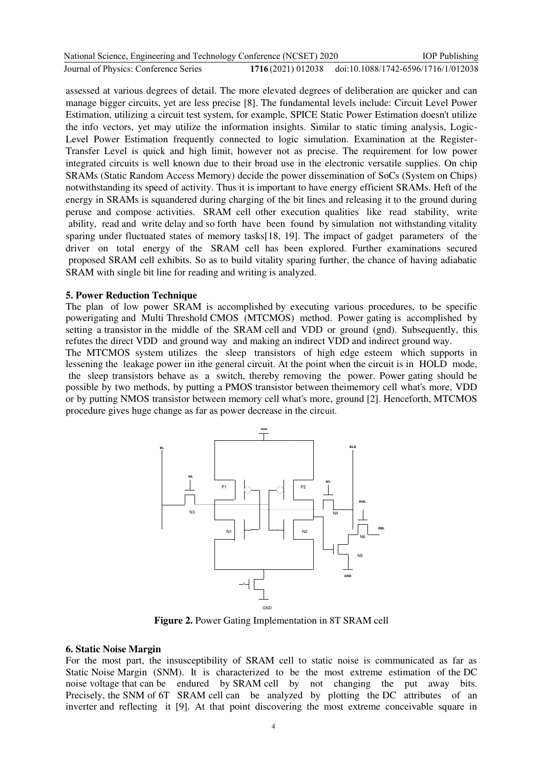| National Science, Engineering and Technology Conference (NCSET) 2020 |                                                       | <b>IOP</b> Publishing |
|----------------------------------------------------------------------|-------------------------------------------------------|-----------------------|
| Journal of Physics: Conference Series                                | 1716(2021) 012038 doi:10.1088/1742-6596/1716/1/012038 |                       |

assessed at various degrees of detail. The more elevated degrees of deliberation are quicker and can manage bigger circuits, yet are less precise [8]. The fundamental levels include: Circuit Level Power Estimation, utilizing a circuit test system, for example, SPICE Static Power Estimation doesn't utilize the info vectors, yet may utilize the information insights. Similar to static timing analysis, Logic-Level Power Estimation frequently connected to logic simulation. Examination at the Register-Transfer Level is quick and high limit, however not as precise. The requirement for low power integrated circuits is well known due to their broad use in the electronic versatile supplies. On chip SRAMs (Static Random Access Memory) decide the power dissemination of SoCs (System on Chips) notwithstanding its speed of activity. Thus it is important to have energy efficient SRAMs. Heft of the energy in SRAMs is squandered during charging of the bit lines and releasing it to the ground during peruse and compose activities. SRAM cell other execution qualities like read stability, write ability, read and write delay and so forth have been found by simulation not withstanding vitality sparing under fluctuated states of memory tasks [18, 19]. The impact of gadget parameters of the driver on total energy of the SRAM cell has been explored. Further examinations secured iproposed SRAM cell exhibits. So as to build vitality sparing further, the chance of having adiabatic SRAM with single bit line for reading and writing is analyzed.

#### **5. Power Reduction Technique**

The plan of low power SRAM is accomplished by executing various procedures, to be specific powerigating and Multi Threshold CMOS (MTCMOS) method. Power gating is accomplished by setting a transistor in the middle of the SRAM cell and VDD or ground (gnd). Subsequently, this refutes the direct VDD and ground way and making an indirect VDD and indirect ground way.

The MTCMOS system utilizes the sleep transistors of high edge esteem which supports in lessening the leakage power iin ithe general circuit. At the point when the circuit is in HOLD mode, the sleep transistors behave as a switch, thereby removing the power. Power gating should be possible by two methods, by putting a PMOS transistor between theimemory cell what's more, VDD or by putting NMOS transistor between memory cell what's more, ground [2]. Henceforth, MTCMOS procedure gives huge change as far as power decrease in the circuit.



**Figure 2.** Power Gating Implementation in 8T SRAM cell

#### **6. Static Noise Margin**

For the most part, the insusceptibility of SRAM cell to static noise is communicated as far as Static Noise Margin (SNM). It is characterized to be the most extreme estimation of the DC noise voltage that can be endured by SRAM cell by not changing the put away bits. Precisely, the SNM of 6T SRAM cell can be analyzed by plotting the DC attributes of an inverter and reflecting it [9]. At that point discovering the most extreme conceivable square in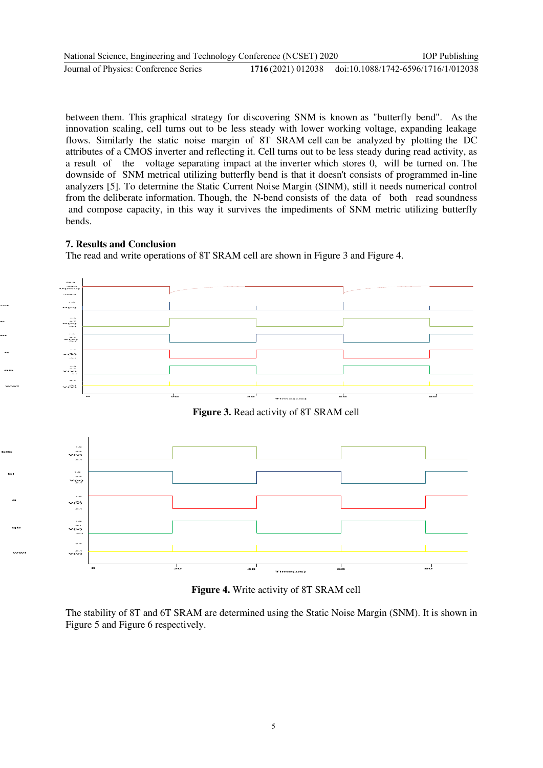between them. This graphical strategy for discovering SNM is known as "butterfly bend". As the innovation scaling, cell turns out to be less steady with lower working voltage, expanding leakage flows. Similarly the static noise margin of 8T SRAM cell can be analyzed by plotting the DC attributes of a CMOS inverter and reflecting it. Cell turns out to be less steady during read activity, as a result of the voltage separating impact at the inverter which stores 0, will be turned on. The downside of SNM metrical utilizing butterfly bend is that it doesn't consists of programmed in-line analyzers [5]. To determine the Static Current Noise Margin (SINM), still it needs numerical control from the deliberate information. Though, the N-bend consists of the data of both read soundness and compose capacity, in this way it survives the impediments of SNM metric utilizing butterfly bends.

## **7. Results and Conclusion**

**blb bl q qb wwl**

**rwl**

**blb**

**bl**

**q**

**qb**

**wwl**

The read and write operations of 8T SRAM cell are shown in Figure 3 and Figure 4.



**Figure 4.** Write activity of 8T SRAM cell

The stability of 8T and 6T SRAM are determined using the Static Noise Margin (SNM). It is shown in Figure 5 and Figure 6 respectively.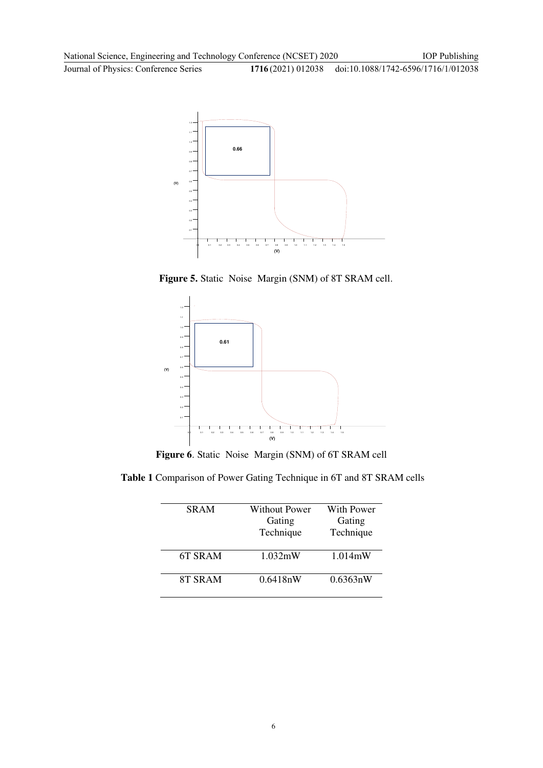**Journal of Physics: Conference Series** 

IOP Publishing 1716(2021) 012038 doi:10.1088/1742-6596/1716/1/012038



Figure 5. Static Noise Margin (SNM) of 8T SRAM cell.



Figure 6. Static Noise Margin (SNM) of 6T SRAM cell

 **Table 1** Comparison of Power Gating Technique in 6T and 8T SRAM cells

L,

| <b>SRAM</b> | Without Power | With Power |
|-------------|---------------|------------|
|             | Gating        | Gating     |
|             | Technique     | Technique  |
|             |               |            |
| 6T SRAM     | 1.032mW       | $1.014$ mW |
|             |               |            |
| 8T SRAM     | $0.6418n$ W   | 0.6363nW   |
|             |               |            |
|             |               |            |